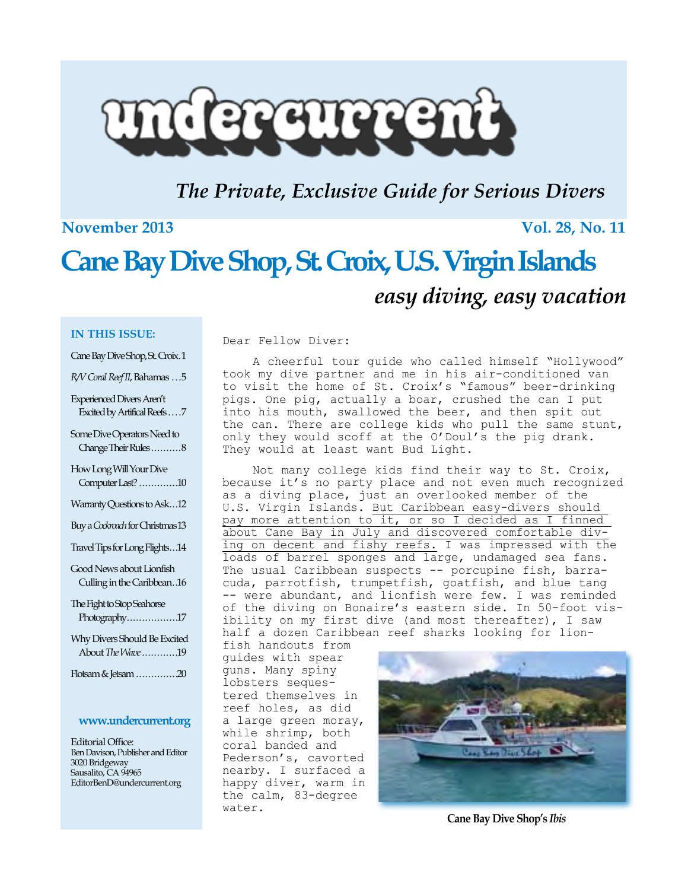

### *The Private, Exclusive Guide for Serious Divers*

### **November 2013** Vol. 28, No. 11

## **Cane Bay Dive Shop, St. Croix, U.S. Virgin Islands** *easy diving, easy vacation*

Dear Fellow Diver:

#### **IN THIS ISSUE:**

Cane Bay Dive Shop, St. Croix .1

*R/V Coral Reef II*, Bahamas ... 5

Experienced Divers Aren't Excited by Artifical Reefs . . . . 7

Some Dive Operators Need to Change Their Rules ..........8

How Long Will Your Dive Computer Last? ..............10

Warranty Questions to Ask...12

Buy a *Cockroach* for Christmas13

Travel Tips for Long Flights . 14

Good News about Lionfish Culling in the Caribbean *.* 16

The Fight to Stop Seahorse Photography.................17

Why Divers Should Be Excited About *The Wave . . . . . . . . . . .* 19

Flotsam & Jetsam ...............20

#### **www.undercurrent.org**

Editorial Office: Ben Davison, Publisher and Editor 3020 Bridgeway Sausalito, CA 94965 EditorBenD@undercurrent.org

A cheerful tour guide who called himself "Hollywood" took my dive partner and me in his air-conditioned van to visit the home of St. Croix's "famous" beer-drinking pigs. One pig, actually a boar, crushed the can I put into his mouth, swallowed the beer, and then spit out the can. There are college kids who pull the same stunt, only they would scoff at the O'Doul's the pig drank. They would at least want Bud Light.

Not many college kids find their way to St. Croix, because it's no party place and not even much recognized as a diving place, just an overlooked member of the U.S. Virgin Islands. But Caribbean easy-divers should pay more attention to it, or so I decided as I finned about Cane Bay in July and discovered comfortable diving on decent and fishy reefs. I was impressed with the loads of barrel sponges and large, undamaged sea fans. The usual Caribbean suspects -- porcupine fish, barracuda, parrotfish, trumpetfish, goatfish, and blue tang -- were abundant, and lionfish were few. I was reminded of the diving on Bonaire's eastern side. In 50-foot visibility on my first dive (and most thereafter), I saw half a dozen Caribbean reef sharks looking for lion-

fish handouts from guides with spear guns. Many spiny lobsters sequestered themselves in reef holes, as did a large green moray, while shrimp, both coral banded and Pederson's, cavorted nearby. I surfaced a happy diver, warm in the calm, 83-degree water.



**Cane Bay Dive Shop's** *Ibis*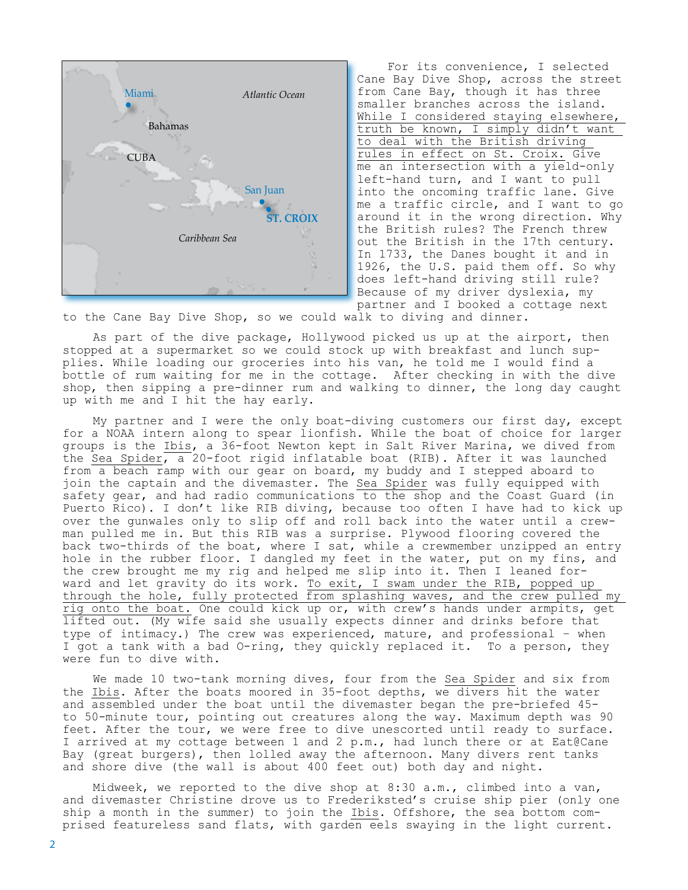

For its convenience, I selected Cane Bay Dive Shop, across the street from Cane Bay, though it has three smaller branches across the island. While I considered staying elsewhere, truth be known, I simply didn't want to deal with the British driving rules in effect on St. Croix. Give me an intersection with a yield-only left-hand turn, and I want to pull into the oncoming traffic lane. Give me a traffic circle, and I want to go around it in the wrong direction. Why the British rules? The French threw out the British in the 17th century. In 1733, the Danes bought it and in 1926, the U.S. paid them off. So why does left-hand driving still rule? Because of my driver dyslexia, my partner and I booked a cottage next

to the Cane Bay Dive Shop, so we could walk to diving and dinner.

As part of the dive package, Hollywood picked us up at the airport, then stopped at a supermarket so we could stock up with breakfast and lunch supplies. While loading our groceries into his van, he told me I would find a bottle of rum waiting for me in the cottage. After checking in with the dive shop, then sipping a pre-dinner rum and walking to dinner, the long day caught up with me and I hit the hay early.

My partner and I were the only boat-diving customers our first day, except for a NOAA intern along to spear lionfish. While the boat of choice for larger groups is the Ibis, a 36-foot Newton kept in Salt River Marina, we dived from the Sea Spider, a 20-foot rigid inflatable boat (RIB). After it was launched from a beach ramp with our gear on board, my buddy and I stepped aboard to join the captain and the divemaster. The Sea Spider was fully equipped with safety gear, and had radio communications to the shop and the Coast Guard (in Puerto Rico). I don't like RIB diving, because too often I have had to kick up over the gunwales only to slip off and roll back into the water until a crewman pulled me in. But this RIB was a surprise. Plywood flooring covered the back two-thirds of the boat, where I sat, while a crewmember unzipped an entry hole in the rubber floor. I dangled my feet in the water, put on my fins, and the crew brought me my rig and helped me slip into it. Then I leaned forward and let gravity do its work. To exit, I swam under the RIB, popped up through the hole, fully protected from splashing waves, and the crew pulled my rig onto the boat. One could kick up or, with crew's hands under armpits, get lifted out. (My wife said she usually expects dinner and drinks before that type of intimacy.) The crew was experienced, mature, and professional – when I got a tank with a bad O-ring, they quickly replaced it. To a person, they were fun to dive with.

We made 10 two-tank morning dives, four from the Sea Spider and six from the Ibis. After the boats moored in 35-foot depths, we divers hit the water and assembled under the boat until the divemaster began the pre-briefed 45 to 50-minute tour, pointing out creatures along the way. Maximum depth was 90 feet. After the tour, we were free to dive unescorted until ready to surface. I arrived at my cottage between 1 and 2 p.m., had lunch there or at Eat@Cane Bay (great burgers), then lolled away the afternoon. Many divers rent tanks and shore dive (the wall is about 400 feet out) both day and night.

Midweek, we reported to the dive shop at 8:30 a.m., climbed into a van, and divemaster Christine drove us to Frederiksted's cruise ship pier (only one ship a month in the summer) to join the *Ibis*. Offshore, the sea bottom comprised featureless sand flats, with garden eels swaying in the light current.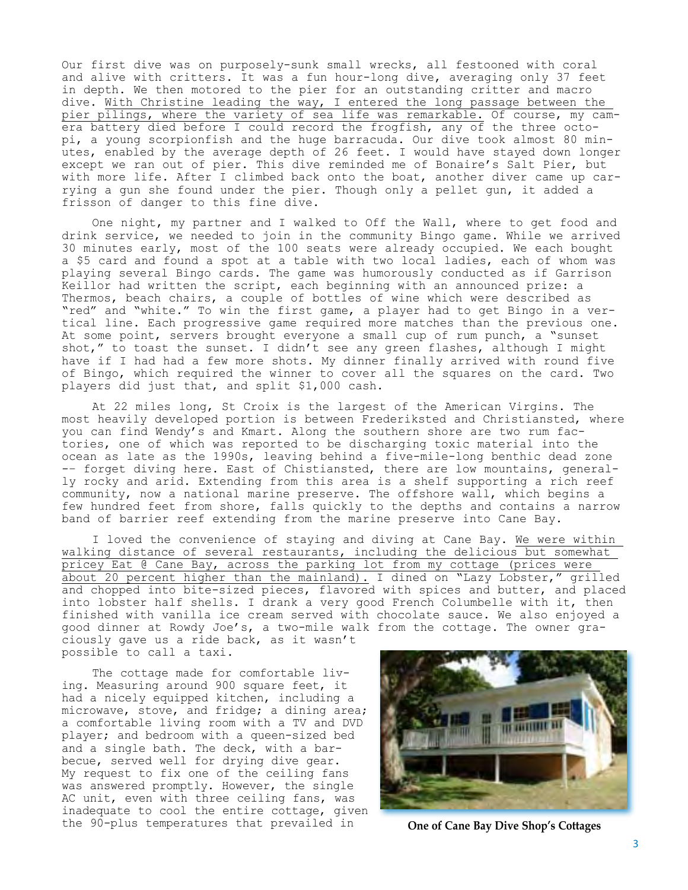Our first dive was on purposely-sunk small wrecks, all festooned with coral and alive with critters. It was a fun hour-long dive, averaging only 37 feet in depth. We then motored to the pier for an outstanding critter and macro dive. With Christine leading the way, I entered the long passage between the pier pilings, where the variety of sea life was remarkable. Of course, my camera battery died before I could record the frogfish, any of the three octopi, a young scorpionfish and the huge barracuda. Our dive took almost 80 minutes, enabled by the average depth of 26 feet. I would have stayed down longer except we ran out of pier. This dive reminded me of Bonaire's Salt Pier, but with more life. After I climbed back onto the boat, another diver came up carrying a gun she found under the pier. Though only a pellet gun, it added a frisson of danger to this fine dive.

One night, my partner and I walked to Off the Wall, where to get food and drink service, we needed to join in the community Bingo game. While we arrived 30 minutes early, most of the 100 seats were already occupied. We each bought a \$5 card and found a spot at a table with two local ladies, each of whom was playing several Bingo cards. The game was humorously conducted as if Garrison Keillor had written the script, each beginning with an announced prize: a Thermos, beach chairs, a couple of bottles of wine which were described as "red" and "white." To win the first game, a player had to get Bingo in a vertical line. Each progressive game required more matches than the previous one. At some point, servers brought everyone a small cup of rum punch, a "sunset shot," to toast the sunset. I didn't see any green flashes, although I might have if I had had a few more shots. My dinner finally arrived with round five of Bingo, which required the winner to cover all the squares on the card. Two players did just that, and split \$1,000 cash.

At 22 miles long, St Croix is the largest of the American Virgins. The most heavily developed portion is between Frederiksted and Christiansted, where you can find Wendy's and Kmart. Along the southern shore are two rum factories, one of which was reported to be discharging toxic material into the ocean as late as the 1990s, leaving behind a five-mile-long benthic dead zone -– forget diving here. East of Chistiansted, there are low mountains, generally rocky and arid. Extending from this area is a shelf supporting a rich reef community, now a national marine preserve. The offshore wall, which begins a few hundred feet from shore, falls quickly to the depths and contains a narrow band of barrier reef extending from the marine preserve into Cane Bay.

I loved the convenience of staying and diving at Cane Bay. We were within walking distance of several restaurants, including the delicious but somewhat pricey Eat @ Cane Bay, across the parking lot from my cottage (prices were about 20 percent higher than the mainland). I dined on "Lazy Lobster," grilled and chopped into bite-sized pieces, flavored with spices and butter, and placed into lobster half shells. I drank a very good French Columbelle with it, then finished with vanilla ice cream served with chocolate sauce. We also enjoyed a good dinner at Rowdy Joe's, a two-mile walk from the cottage. The owner graciously gave us a ride back, as it wasn't possible to call a taxi.

The cottage made for comfortable living. Measuring around 900 square feet, it had a nicely equipped kitchen, including a microwave, stove, and fridge; a dining area; a comfortable living room with a TV and DVD player; and bedroom with a queen-sized bed and a single bath. The deck, with a barbecue, served well for drying dive gear. My request to fix one of the ceiling fans was answered promptly. However, the single AC unit, even with three ceiling fans, was inadequate to cool the entire cottage, given the 90-plus temperatures that prevailed in **One of Cane Bay Dive Shop's Cottages**

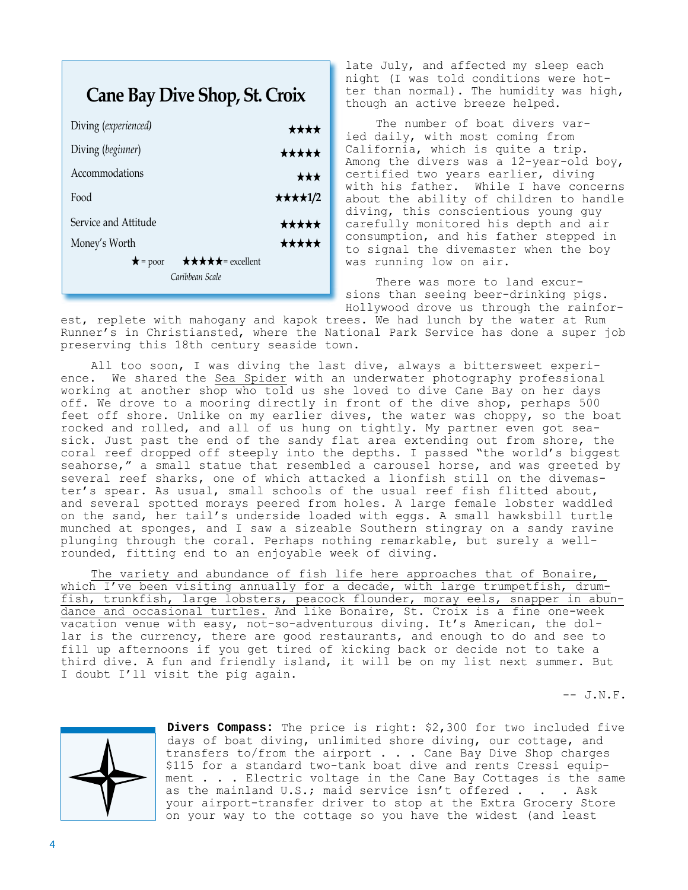### **Cane Bay Dive Shop, St. Croix**

| Diving (experienced)                  | ****    |
|---------------------------------------|---------|
| Diving (beginner)                     | *****   |
| Accommodations                        | ★★★     |
| Food                                  | ★★★★1/2 |
| Service and Attitude                  | *****   |
| Money's Worth                         | *****   |
| ★★★★★= excellent<br>$\bigstar$ = poor |         |
| Caribbean Scale                       |         |

late July, and affected my sleep each night (I was told conditions were hotter than normal). The humidity was high, though an active breeze helped.

The number of boat divers varied daily, with most coming from California, which is quite a trip. Among the divers was a 12-year-old boy, certified two years earlier, diving with his father. While I have concerns about the ability of children to handle diving, this conscientious young guy carefully monitored his depth and air consumption, and his father stepped in to signal the divemaster when the boy was running low on air.

There was more to land excursions than seeing beer-drinking pigs. Hollywood drove us through the rainfor-

est, replete with mahogany and kapok trees. We had lunch by the water at Rum Runner's in Christiansted, where the National Park Service has done a super job preserving this 18th century seaside town.

All too soon, I was diving the last dive, always a bittersweet experience. We shared the Sea Spider with an underwater photography professional working at another shop who told us she loved to dive Cane Bay on her days off. We drove to a mooring directly in front of the dive shop, perhaps 500 feet off shore. Unlike on my earlier dives, the water was choppy, so the boat rocked and rolled, and all of us hung on tightly. My partner even got seasick. Just past the end of the sandy flat area extending out from shore, the coral reef dropped off steeply into the depths. I passed "the world's biggest seahorse," a small statue that resembled a carousel horse, and was greeted by several reef sharks, one of which attacked a lionfish still on the divemaster's spear. As usual, small schools of the usual reef fish flitted about, and several spotted morays peered from holes. A large female lobster waddled on the sand, her tail's underside loaded with eggs. A small hawksbill turtle munched at sponges, and I saw a sizeable Southern stingray on a sandy ravine plunging through the coral. Perhaps nothing remarkable, but surely a wellrounded, fitting end to an enjoyable week of diving.

The variety and abundance of fish life here approaches that of Bonaire, which I've been visiting annually for a decade, with large trumpetfish, drumfish, trunkfish, large lobsters, peacock flounder, moray eels, snapper in abundance and occasional turtles. And like Bonaire, St. Croix is a fine one-week vacation venue with easy, not-so-adventurous diving. It's American, the dollar is the currency, there are good restaurants, and enough to do and see to fill up afternoons if you get tired of kicking back or decide not to take a third dive. A fun and friendly island, it will be on my list next summer. But I doubt I'll visit the pig again.

 $--$  J.N.F.



**Divers Compass:** The price is right: \$2,300 for two included five days of boat diving, unlimited shore diving, our cottage, and transfers to/from the airport . . . Cane Bay Dive Shop charges \$115 for a standard two-tank boat dive and rents Cressi equipment . . . Electric voltage in the Cane Bay Cottages is the same as the mainland U.S.; maid service isn't offered . . . Ask your airport-transfer driver to stop at the Extra Grocery Store on your way to the cottage so you have the widest (and least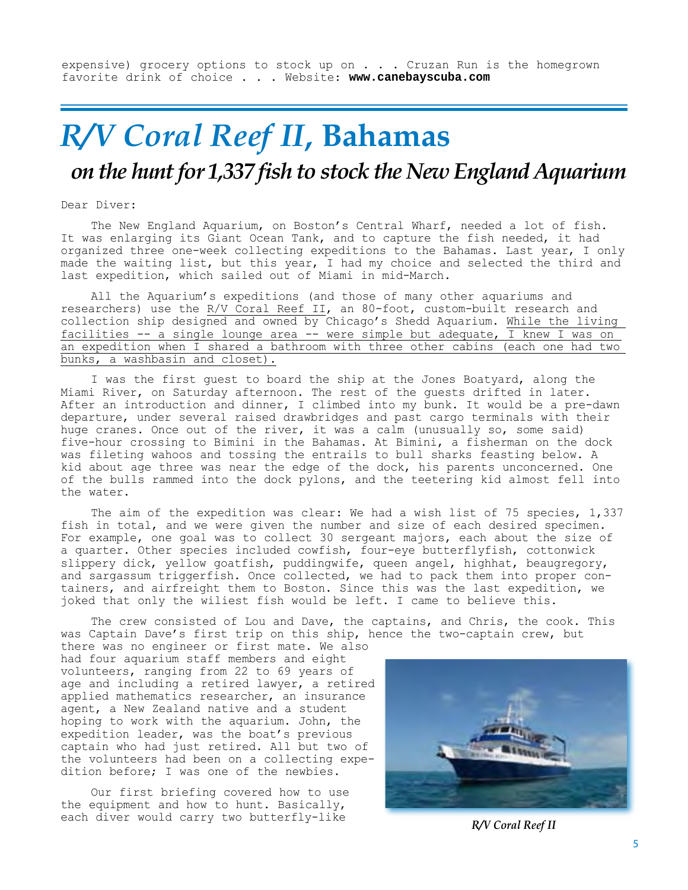expensive) grocery options to stock up on . . . Cruzan Run is the homegrown favorite drink of choice . . . Website: **www.canebayscuba.com**

## *R/V Coral Reef II***, Bahamas** *on the hunt for 1,337 fish to stock the New England Aquarium*

Dear Diver:

The New England Aquarium, on Boston's Central Wharf, needed a lot of fish. It was enlarging its Giant Ocean Tank, and to capture the fish needed, it had organized three one-week collecting expeditions to the Bahamas. Last year, I only made the waiting list, but this year, I had my choice and selected the third and last expedition, which sailed out of Miami in mid-March.

All the Aquarium's expeditions (and those of many other aquariums and researchers) use the R/V Coral Reef II, an 80-foot, custom-built research and collection ship designed and owned by Chicago's Shedd Aquarium. While the living facilities -- a single lounge area -- were simple but adequate,  $\overline{I}$  knew I was on an expedition when I shared a bathroom with three other cabins (each one had two bunks, a washbasin and closet).

I was the first guest to board the ship at the Jones Boatyard, along the Miami River, on Saturday afternoon. The rest of the guests drifted in later. After an introduction and dinner, I climbed into my bunk. It would be a pre-dawn departure, under several raised drawbridges and past cargo terminals with their huge cranes. Once out of the river, it was a calm (unusually so, some said) five-hour crossing to Bimini in the Bahamas. At Bimini, a fisherman on the dock was fileting wahoos and tossing the entrails to bull sharks feasting below. A kid about age three was near the edge of the dock, his parents unconcerned. One of the bulls rammed into the dock pylons, and the teetering kid almost fell into the water.

The aim of the expedition was clear: We had a wish list of 75 species, 1,337 fish in total, and we were given the number and size of each desired specimen. For example, one goal was to collect 30 sergeant majors, each about the size of a quarter. Other species included cowfish, four-eye butterflyfish, cottonwick slippery dick, yellow goatfish, puddingwife, queen angel, highhat, beaugregory, and sargassum triggerfish. Once collected, we had to pack them into proper containers, and airfreight them to Boston. Since this was the last expedition, we joked that only the wiliest fish would be left. I came to believe this.

The crew consisted of Lou and Dave, the captains, and Chris, the cook. This was Captain Dave's first trip on this ship, hence the two-captain crew, but

there was no engineer or first mate. We also had four aquarium staff members and eight volunteers, ranging from 22 to 69 years of age and including a retired lawyer, a retired applied mathematics researcher, an insurance agent, a New Zealand native and a student hoping to work with the aquarium. John, the expedition leader, was the boat's previous captain who had just retired. All but two of the volunteers had been on a collecting expedition before; I was one of the newbies.

Our first briefing covered how to use the equipment and how to hunt. Basically, each diver would carry two butterfly-like **R/V Coral Reef II** 

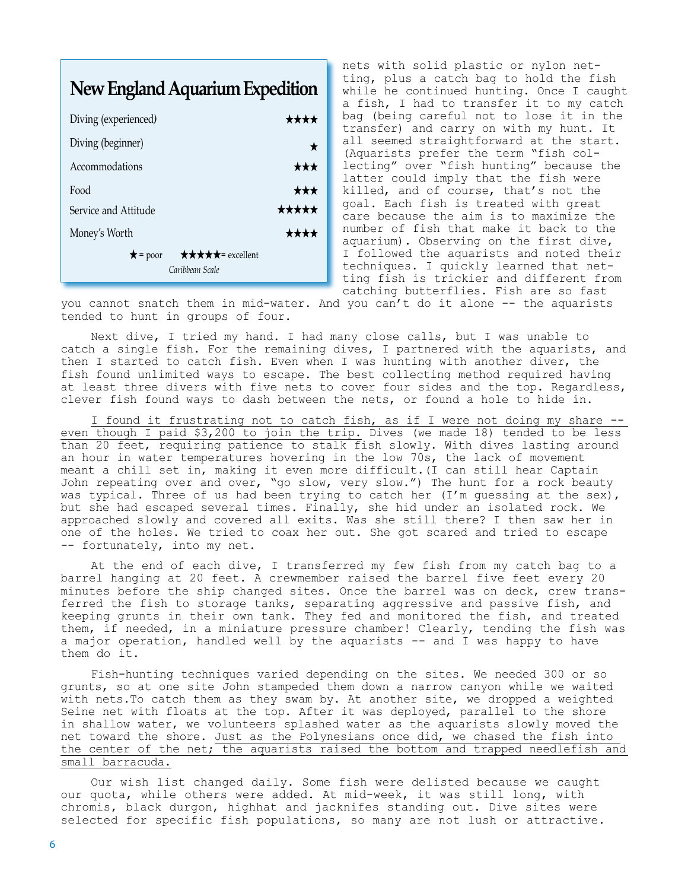### **New England Aquarium Expedition**

| Diving (experienced)                                             | ╈╈╈╈  |
|------------------------------------------------------------------|-------|
| Diving (beginner)                                                |       |
| Accommodations                                                   | ***   |
| Food                                                             | ★★★   |
| Service and Attitude                                             | ***** |
| Money's Worth                                                    | ****  |
| <b>★★★★★</b> = excellent<br>$\bigstar$ = poor<br>Caribbean Scale |       |

nets with solid plastic or nylon netting, plus a catch bag to hold the fish while he continued hunting. Once I caught a fish, I had to transfer it to my catch bag (being careful not to lose it in the transfer) and carry on with my hunt. It all seemed straightforward at the start. (Aquarists prefer the term "fish collecting" over "fish hunting" because the latter could imply that the fish were killed, and of course, that's not the goal. Each fish is treated with great care because the aim is to maximize the number of fish that make it back to the aquarium). Observing on the first dive, I followed the aquarists and noted their techniques. I quickly learned that netting fish is trickier and different from catching butterflies. Fish are so fast

you cannot snatch them in mid-water. And you can't do it alone -- the aquarists tended to hunt in groups of four.

Next dive, I tried my hand. I had many close calls, but I was unable to catch a single fish. For the remaining dives, I partnered with the aquarists, and then I started to catch fish. Even when I was hunting with another diver, the fish found unlimited ways to escape. The best collecting method required having at least three divers with five nets to cover four sides and the top. Regardless, clever fish found ways to dash between the nets, or found a hole to hide in.

I found it frustrating not to catch fish, as if I were not doing my share -even though I paid \$3,200 to join the trip. Dives (we made 18) tended to be less than 20 feet, requiring patience to stalk fish slowly. With dives lasting around an hour in water temperatures hovering in the low 70s, the lack of movement meant a chill set in, making it even more difficult.(I can still hear Captain John repeating over and over, "go slow, very slow.") The hunt for a rock beauty was typical. Three of us had been trying to catch her (I'm quessing at the sex), but she had escaped several times. Finally, she hid under an isolated rock. We approached slowly and covered all exits. Was she still there? I then saw her in one of the holes. We tried to coax her out. She got scared and tried to escape -- fortunately, into my net.

At the end of each dive, I transferred my few fish from my catch bag to a barrel hanging at 20 feet. A crewmember raised the barrel five feet every 20 minutes before the ship changed sites. Once the barrel was on deck, crew transferred the fish to storage tanks, separating aggressive and passive fish, and keeping grunts in their own tank. They fed and monitored the fish, and treated them, if needed, in a miniature pressure chamber! Clearly, tending the fish was a major operation, handled well by the aquarists -- and I was happy to have them do it.

Fish-hunting techniques varied depending on the sites. We needed 300 or so grunts, so at one site John stampeded them down a narrow canyon while we waited with nets.To catch them as they swam by. At another site, we dropped a weighted Seine net with floats at the top. After it was deployed, parallel to the shore in shallow water, we volunteers splashed water as the aquarists slowly moved the net toward the shore. Just as the Polynesians once did, we chased the fish into the center of the net; the aquarists raised the bottom and trapped needlefish and small barracuda.

Our wish list changed daily. Some fish were delisted because we caught our quota, while others were added. At mid-week, it was still long, with chromis, black durgon, highhat and jacknifes standing out. Dive sites were selected for specific fish populations, so many are not lush or attractive.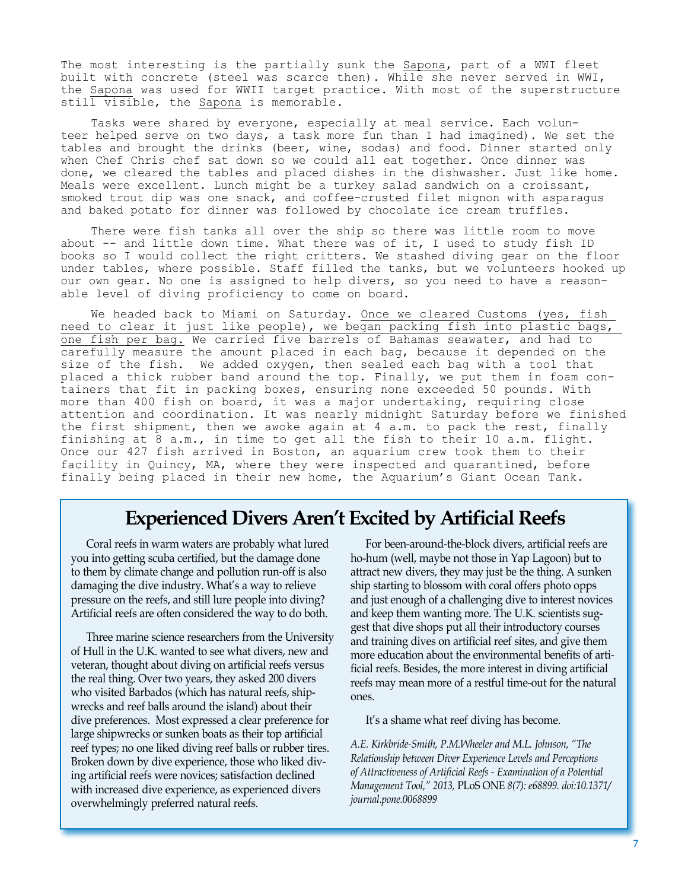The most interesting is the partially sunk the Sapona, part of a WWI fleet built with concrete (steel was scarce then). While she never served in WWI, the Sapona was used for WWII target practice. With most of the superstructure still visible, the Sapona is memorable.

Tasks were shared by everyone, especially at meal service. Each volunteer helped serve on two days, a task more fun than I had imagined). We set the tables and brought the drinks (beer, wine, sodas) and food. Dinner started only when Chef Chris chef sat down so we could all eat together. Once dinner was done, we cleared the tables and placed dishes in the dishwasher. Just like home. Meals were excellent. Lunch might be a turkey salad sandwich on a croissant, smoked trout dip was one snack, and coffee-crusted filet mignon with asparagus and baked potato for dinner was followed by chocolate ice cream truffles.

There were fish tanks all over the ship so there was little room to move about -- and little down time. What there was of it, I used to study fish ID books so I would collect the right critters. We stashed diving gear on the floor under tables, where possible. Staff filled the tanks, but we volunteers hooked up our own gear. No one is assigned to help divers, so you need to have a reasonable level of diving proficiency to come on board.

We headed back to Miami on Saturday. Once we cleared Customs (yes, fish need to clear it just like people), we began packing fish into plastic bags, one fish per bag. We carried five barrels of Bahamas seawater, and had to carefully measure the amount placed in each bag, because it depended on the size of the fish. We added oxygen, then sealed each bag with a tool that placed a thick rubber band around the top. Finally, we put them in foam containers that fit in packing boxes, ensuring none exceeded 50 pounds. With more than 400 fish on board, it was a major undertaking, requiring close attention and coordination. It was nearly midnight Saturday before we finished the first shipment, then we awoke again at 4 a.m. to pack the rest, finally finishing at 8 a.m., in time to get all the fish to their 10 a.m. flight. Once our 427 fish arrived in Boston, an aquarium crew took them to their facility in Quincy, MA, where they were inspected and quarantined, before finally being placed in their new home, the Aquarium's Giant Ocean Tank.

### **Experienced Divers Aren't Excited by Artificial Reefs**

Coral reefs in warm waters are probably what lured you into getting scuba certified, but the damage done to them by climate change and pollution run-off is also damaging the dive industry. What's a way to relieve pressure on the reefs, and still lure people into diving? Artificial reefs are often considered the way to do both.

Three marine science researchers from the University of Hull in the U.K. wanted to see what divers, new and veteran, thought about diving on artificial reefs versus the real thing. Over two years, they asked 200 divers who visited Barbados (which has natural reefs, shipwrecks and reef balls around the island) about their dive preferences. Most expressed a clear preference for large shipwrecks or sunken boats as their top artificial reef types; no one liked diving reef balls or rubber tires. Broken down by dive experience, those who liked diving artificial reefs were novices; satisfaction declined with increased dive experience, as experienced divers overwhelmingly preferred natural reefs.

For been-around-the-block divers, artificial reefs are ho-hum (well, maybe not those in Yap Lagoon) but to attract new divers, they may just be the thing. A sunken ship starting to blossom with coral offers photo opps and just enough of a challenging dive to interest novices and keep them wanting more. The U.K. scientists suggest that dive shops put all their introductory courses and training dives on artificial reef sites, and give them more education about the environmental benefits of artificial reefs. Besides, the more interest in diving artificial reefs may mean more of a restful time-out for the natural ones.

It's a shame what reef diving has become.

*A.E. Kirkbride-Smith, P.M.Wheeler and M.L. Johnson, "The Relationship between Diver Experience Levels and Perceptions of Attractiveness of Artificial Reefs - Examination of a Potential Management Tool," 2013,* PLoS ONE *8(7): e68899. doi:10.1371/ journal.pone.0068899*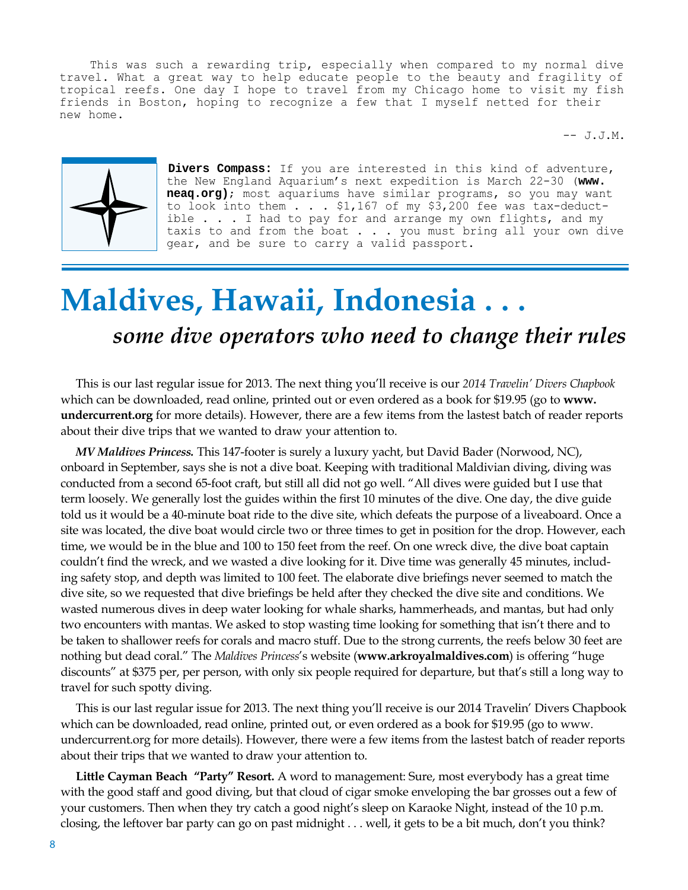This was such a rewarding trip, especially when compared to my normal dive travel. What a great way to help educate people to the beauty and fragility of tropical reefs. One day I hope to travel from my Chicago home to visit my fish friends in Boston, hoping to recognize a few that I myself netted for their new home.

-- J.J.M.



**Divers Compass:** If you are interested in this kind of adventure, the New England Aquarium's next expedition is March 22-30 (**www. neaq.org)**; most aquariums have similar programs, so you may want to look into them  $\ldots$  \$1,167 of my \$3,200 fee was tax-deductible . . . I had to pay for and arrange my own flights, and my taxis to and from the boat . . . you must bring all your own dive gear, and be sure to carry a valid passport.

# **Maldives, Hawaii, Indonesia . . .** *some dive operators who need to change their rules*

This is our last regular issue for 2013. The next thing you'll receive is our *2014 Travelin' Divers Chapbook*  which can be downloaded, read online, printed out or even ordered as a book for \$19.95 (go to **www. undercurrent.org** for more details). However, there are a few items from the lastest batch of reader reports about their dive trips that we wanted to draw your attention to.

*MV Maldives Princess.* This 147-footer is surely a luxury yacht, but David Bader (Norwood, NC), onboard in September, says she is not a dive boat. Keeping with traditional Maldivian diving, diving was conducted from a second 65-foot craft, but still all did not go well. "All dives were guided but I use that term loosely. We generally lost the guides within the first 10 minutes of the dive. One day, the dive guide told us it would be a 40-minute boat ride to the dive site, which defeats the purpose of a liveaboard. Once a site was located, the dive boat would circle two or three times to get in position for the drop. However, each time, we would be in the blue and 100 to 150 feet from the reef. On one wreck dive, the dive boat captain couldn't find the wreck, and we wasted a dive looking for it. Dive time was generally 45 minutes, including safety stop, and depth was limited to 100 feet. The elaborate dive briefings never seemed to match the dive site, so we requested that dive briefings be held after they checked the dive site and conditions. We wasted numerous dives in deep water looking for whale sharks, hammerheads, and mantas, but had only two encounters with mantas. We asked to stop wasting time looking for something that isn't there and to be taken to shallower reefs for corals and macro stuff. Due to the strong currents, the reefs below 30 feet are nothing but dead coral." The *Maldives Princess*'s website (**www.arkroyalmaldives.com**) is offering "huge discounts" at \$375 per, per person, with only six people required for departure, but that's still a long way to travel for such spotty diving.

This is our last regular issue for 2013. The next thing you'll receive is our 2014 Travelin' Divers Chapbook which can be downloaded, read online, printed out, or even ordered as a book for \$19.95 (go to www. undercurrent.org for more details). However, there were a few items from the lastest batch of reader reports about their trips that we wanted to draw your attention to.

**Little Cayman Beach "Party" Resort.** A word to management: Sure, most everybody has a great time with the good staff and good diving, but that cloud of cigar smoke enveloping the bar grosses out a few of your customers. Then when they try catch a good night's sleep on Karaoke Night, instead of the 10 p.m. closing, the leftover bar party can go on past midnight . . . well, it gets to be a bit much, don't you think?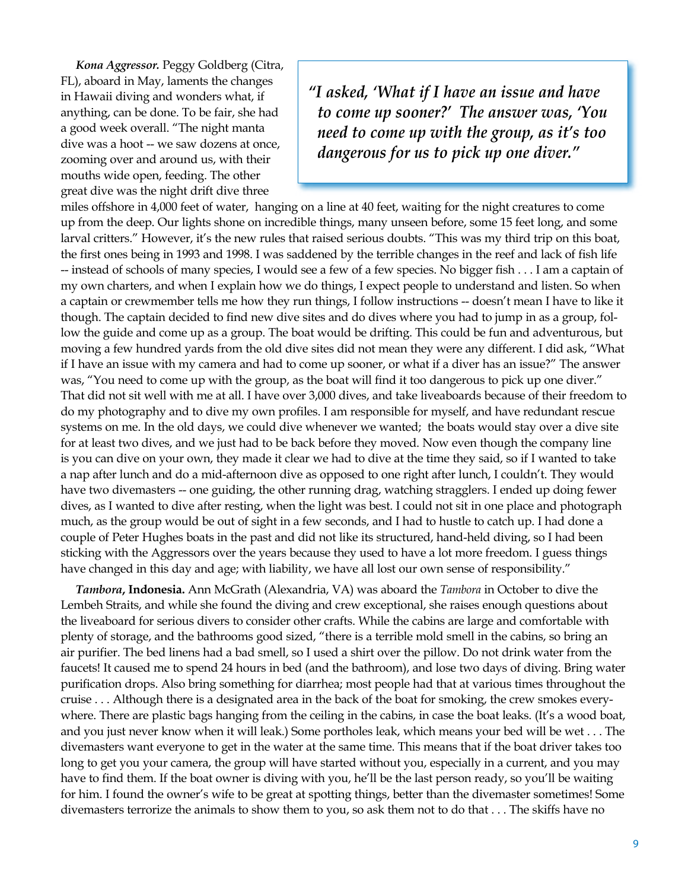*Kona Aggressor.* Peggy Goldberg (Citra, FL), aboard in May, laments the changes in Hawaii diving and wonders what, if anything, can be done. To be fair, she had a good week overall. "The night manta dive was a hoot -- we saw dozens at once, zooming over and around us, with their mouths wide open, feeding. The other great dive was the night drift dive three

*"I asked, 'What if I have an issue and have to come up sooner?' The answer was, 'You need to come up with the group, as it's too dangerous for us to pick up one diver."*

miles offshore in 4,000 feet of water, hanging on a line at 40 feet, waiting for the night creatures to come up from the deep. Our lights shone on incredible things, many unseen before, some 15 feet long, and some larval critters." However, it's the new rules that raised serious doubts. "This was my third trip on this boat, the first ones being in 1993 and 1998. I was saddened by the terrible changes in the reef and lack of fish life -- instead of schools of many species, I would see a few of a few species. No bigger fish . . . I am a captain of my own charters, and when I explain how we do things, I expect people to understand and listen. So when a captain or crewmember tells me how they run things, I follow instructions -- doesn't mean I have to like it though. The captain decided to find new dive sites and do dives where you had to jump in as a group, follow the guide and come up as a group. The boat would be drifting. This could be fun and adventurous, but moving a few hundred yards from the old dive sites did not mean they were any different. I did ask, "What if I have an issue with my camera and had to come up sooner, or what if a diver has an issue?" The answer was, "You need to come up with the group, as the boat will find it too dangerous to pick up one diver." That did not sit well with me at all. I have over 3,000 dives, and take liveaboards because of their freedom to do my photography and to dive my own profiles. I am responsible for myself, and have redundant rescue systems on me. In the old days, we could dive whenever we wanted; the boats would stay over a dive site for at least two dives, and we just had to be back before they moved. Now even though the company line is you can dive on your own, they made it clear we had to dive at the time they said, so if I wanted to take a nap after lunch and do a mid-afternoon dive as opposed to one right after lunch, I couldn't. They would have two divemasters -- one guiding, the other running drag, watching stragglers. I ended up doing fewer dives, as I wanted to dive after resting, when the light was best. I could not sit in one place and photograph much, as the group would be out of sight in a few seconds, and I had to hustle to catch up. I had done a couple of Peter Hughes boats in the past and did not like its structured, hand-held diving, so I had been sticking with the Aggressors over the years because they used to have a lot more freedom. I guess things have changed in this day and age; with liability, we have all lost our own sense of responsibility."

*Tambora***, Indonesia.** Ann McGrath (Alexandria, VA) was aboard the *Tambora* in October to dive the Lembeh Straits, and while she found the diving and crew exceptional, she raises enough questions about the liveaboard for serious divers to consider other crafts. While the cabins are large and comfortable with plenty of storage, and the bathrooms good sized, "there is a terrible mold smell in the cabins, so bring an air purifier. The bed linens had a bad smell, so I used a shirt over the pillow. Do not drink water from the faucets! It caused me to spend 24 hours in bed (and the bathroom), and lose two days of diving. Bring water purification drops. Also bring something for diarrhea; most people had that at various times throughout the cruise . . . Although there is a designated area in the back of the boat for smoking, the crew smokes everywhere. There are plastic bags hanging from the ceiling in the cabins, in case the boat leaks. (It's a wood boat, and you just never know when it will leak.) Some portholes leak, which means your bed will be wet . . . The divemasters want everyone to get in the water at the same time. This means that if the boat driver takes too long to get you your camera, the group will have started without you, especially in a current, and you may have to find them. If the boat owner is diving with you, he'll be the last person ready, so you'll be waiting for him. I found the owner's wife to be great at spotting things, better than the divemaster sometimes! Some divemasters terrorize the animals to show them to you, so ask them not to do that . . . The skiffs have no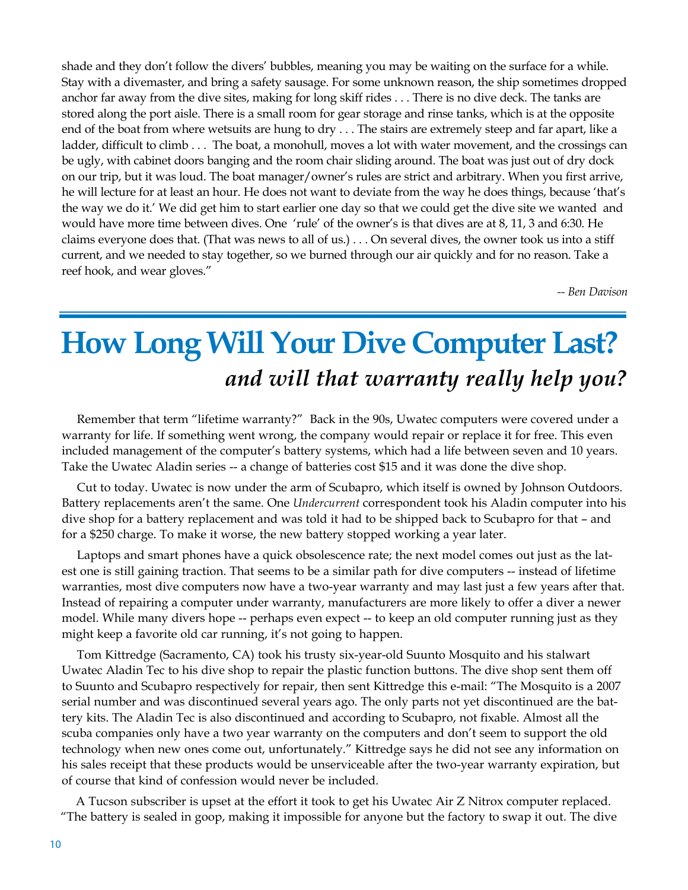shade and they don't follow the divers' bubbles, meaning you may be waiting on the surface for a while. Stay with a divemaster, and bring a safety sausage. For some unknown reason, the ship sometimes dropped anchor far away from the dive sites, making for long skiff rides . . . There is no dive deck. The tanks are stored along the port aisle. There is a small room for gear storage and rinse tanks, which is at the opposite end of the boat from where wetsuits are hung to dry . . . The stairs are extremely steep and far apart, like a ladder, difficult to climb . . . The boat, a monohull, moves a lot with water movement, and the crossings can be ugly, with cabinet doors banging and the room chair sliding around. The boat was just out of dry dock on our trip, but it was loud. The boat manager/owner's rules are strict and arbitrary. When you first arrive, he will lecture for at least an hour. He does not want to deviate from the way he does things, because 'that's the way we do it.' We did get him to start earlier one day so that we could get the dive site we wanted and would have more time between dives. One 'rule' of the owner's is that dives are at 8, 11, 3 and 6:30. He claims everyone does that. (That was news to all of us.) . . . On several dives, the owner took us into a stiff current, and we needed to stay together, so we burned through our air quickly and for no reason. Take a reef hook, and wear gloves."

*-- Ben Davison*

## **How Long Will Your Dive Computer Last?**  *and will that warranty really help you?*

Remember that term "lifetime warranty?" Back in the 90s, Uwatec computers were covered under a warranty for life. If something went wrong, the company would repair or replace it for free. This even included management of the computer's battery systems, which had a life between seven and 10 years. Take the Uwatec Aladin series -- a change of batteries cost \$15 and it was done the dive shop.

Cut to today. Uwatec is now under the arm of Scubapro, which itself is owned by Johnson Outdoors. Battery replacements aren't the same. One *Undercurrent* correspondent took his Aladin computer into his dive shop for a battery replacement and was told it had to be shipped back to Scubapro for that – and for a \$250 charge. To make it worse, the new battery stopped working a year later.

Laptops and smart phones have a quick obsolescence rate; the next model comes out just as the latest one is still gaining traction. That seems to be a similar path for dive computers -- instead of lifetime warranties, most dive computers now have a two-year warranty and may last just a few years after that. Instead of repairing a computer under warranty, manufacturers are more likely to offer a diver a newer model. While many divers hope -- perhaps even expect -- to keep an old computer running just as they might keep a favorite old car running, it's not going to happen.

Tom Kittredge (Sacramento, CA) took his trusty six-year-old Suunto Mosquito and his stalwart Uwatec Aladin Tec to his dive shop to repair the plastic function buttons. The dive shop sent them off to Suunto and Scubapro respectively for repair, then sent Kittredge this e-mail: "The Mosquito is a 2007 serial number and was discontinued several years ago. The only parts not yet discontinued are the battery kits. The Aladin Tec is also discontinued and according to Scubapro, not fixable. Almost all the scuba companies only have a two year warranty on the computers and don't seem to support the old technology when new ones come out, unfortunately." Kittredge says he did not see any information on his sales receipt that these products would be unserviceable after the two-year warranty expiration, but of course that kind of confession would never be included.

A Tucson subscriber is upset at the effort it took to get his Uwatec Air Z Nitrox computer replaced. "The battery is sealed in goop, making it impossible for anyone but the factory to swap it out. The dive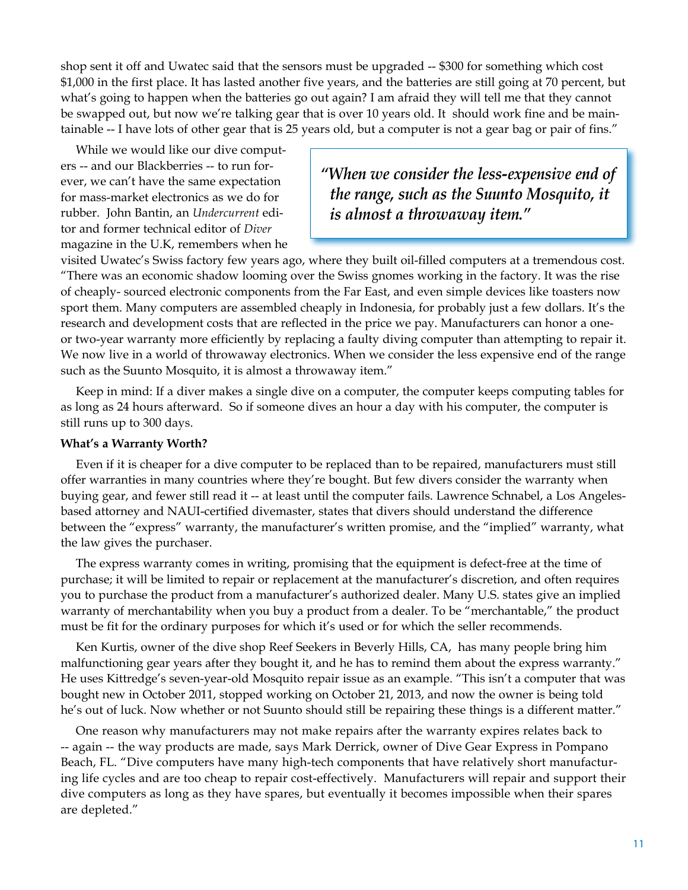shop sent it off and Uwatec said that the sensors must be upgraded -- \$300 for something which cost \$1,000 in the first place. It has lasted another five years, and the batteries are still going at 70 percent, but what's going to happen when the batteries go out again? I am afraid they will tell me that they cannot be swapped out, but now we're talking gear that is over 10 years old. It should work fine and be maintainable -- I have lots of other gear that is 25 years old, but a computer is not a gear bag or pair of fins."

While we would like our dive computers -- and our Blackberries -- to run forever, we can't have the same expectation for mass-market electronics as we do for rubber. John Bantin, an *Undercurrent* editor and former technical editor of *Diver* magazine in the U.K, remembers when he

*"When we consider the less-expensive end of the range, such as the Suunto Mosquito, it is almost a throwaway item."*

visited Uwatec's Swiss factory few years ago, where they built oil-filled computers at a tremendous cost. "There was an economic shadow looming over the Swiss gnomes working in the factory. It was the rise of cheaply- sourced electronic components from the Far East, and even simple devices like toasters now sport them. Many computers are assembled cheaply in Indonesia, for probably just a few dollars. It's the research and development costs that are reflected in the price we pay. Manufacturers can honor a oneor two-year warranty more efficiently by replacing a faulty diving computer than attempting to repair it. We now live in a world of throwaway electronics. When we consider the less expensive end of the range such as the Suunto Mosquito, it is almost a throwaway item."

Keep in mind: If a diver makes a single dive on a computer, the computer keeps computing tables for as long as 24 hours afterward. So if someone dives an hour a day with his computer, the computer is still runs up to 300 days.

#### **What's a Warranty Worth?**

Even if it is cheaper for a dive computer to be replaced than to be repaired, manufacturers must still offer warranties in many countries where they're bought. But few divers consider the warranty when buying gear, and fewer still read it -- at least until the computer fails. Lawrence Schnabel, a Los Angelesbased attorney and NAUI-certified divemaster, states that divers should understand the difference between the "express" warranty, the manufacturer's written promise, and the "implied" warranty, what the law gives the purchaser.

The express warranty comes in writing, promising that the equipment is defect-free at the time of purchase; it will be limited to repair or replacement at the manufacturer's discretion, and often requires you to purchase the product from a manufacturer's authorized dealer. Many U.S. states give an implied warranty of merchantability when you buy a product from a dealer. To be "merchantable," the product must be fit for the ordinary purposes for which it's used or for which the seller recommends.

Ken Kurtis, owner of the dive shop Reef Seekers in Beverly Hills, CA, has many people bring him malfunctioning gear years after they bought it, and he has to remind them about the express warranty." He uses Kittredge's seven-year-old Mosquito repair issue as an example. "This isn't a computer that was bought new in October 2011, stopped working on October 21, 2013, and now the owner is being told he's out of luck. Now whether or not Suunto should still be repairing these things is a different matter."

One reason why manufacturers may not make repairs after the warranty expires relates back to -- again -- the way products are made, says Mark Derrick, owner of Dive Gear Express in Pompano Beach, FL. "Dive computers have many high-tech components that have relatively short manufacturing life cycles and are too cheap to repair cost-effectively. Manufacturers will repair and support their dive computers as long as they have spares, but eventually it becomes impossible when their spares are depleted."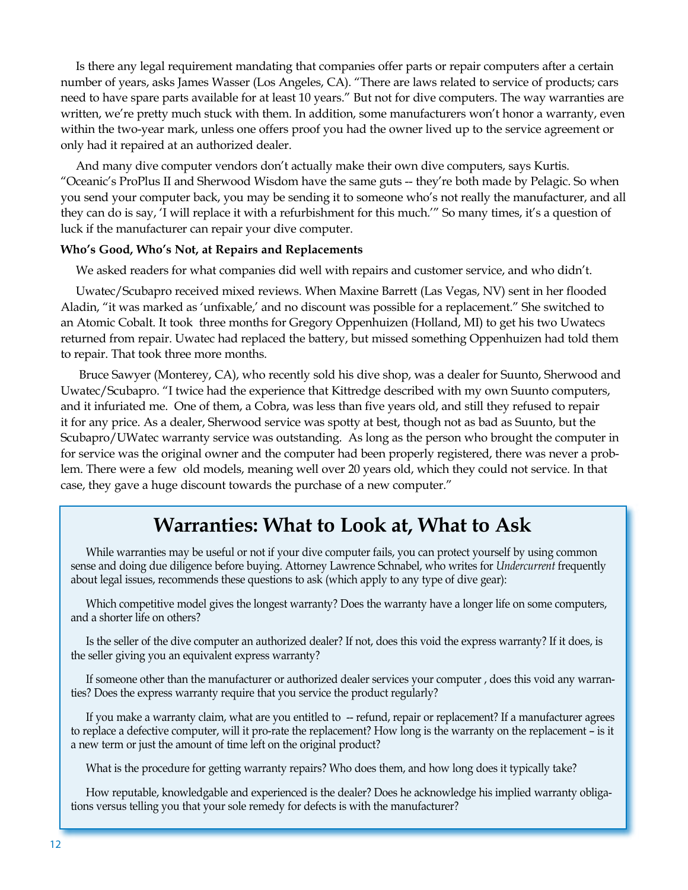Is there any legal requirement mandating that companies offer parts or repair computers after a certain number of years, asks James Wasser (Los Angeles, CA). "There are laws related to service of products; cars need to have spare parts available for at least 10 years." But not for dive computers. The way warranties are written, we're pretty much stuck with them. In addition, some manufacturers won't honor a warranty, even within the two-year mark, unless one offers proof you had the owner lived up to the service agreement or only had it repaired at an authorized dealer.

And many dive computer vendors don't actually make their own dive computers, says Kurtis. "Oceanic's ProPlus II and Sherwood Wisdom have the same guts -- they're both made by Pelagic. So when you send your computer back, you may be sending it to someone who's not really the manufacturer, and all they can do is say, 'I will replace it with a refurbishment for this much.'" So many times, it's a question of luck if the manufacturer can repair your dive computer.

#### **Who's Good, Who's Not, at Repairs and Replacements**

We asked readers for what companies did well with repairs and customer service, and who didn't.

Uwatec/Scubapro received mixed reviews. When Maxine Barrett (Las Vegas, NV) sent in her flooded Aladin, "it was marked as 'unfixable,' and no discount was possible for a replacement." She switched to an Atomic Cobalt. It took three months for Gregory Oppenhuizen (Holland, MI) to get his two Uwatecs returned from repair. Uwatec had replaced the battery, but missed something Oppenhuizen had told them to repair. That took three more months.

 Bruce Sawyer (Monterey, CA), who recently sold his dive shop, was a dealer for Suunto, Sherwood and Uwatec/Scubapro. "I twice had the experience that Kittredge described with my own Suunto computers, and it infuriated me. One of them, a Cobra, was less than five years old, and still they refused to repair it for any price. As a dealer, Sherwood service was spotty at best, though not as bad as Suunto, but the Scubapro/UWatec warranty service was outstanding. As long as the person who brought the computer in for service was the original owner and the computer had been properly registered, there was never a problem. There were a few old models, meaning well over 20 years old, which they could not service. In that case, they gave a huge discount towards the purchase of a new computer."

### **Warranties: What to Look at, What to Ask**

While warranties may be useful or not if your dive computer fails, you can protect yourself by using common sense and doing due diligence before buying. Attorney Lawrence Schnabel, who writes for *Undercurrent* frequently about legal issues, recommends these questions to ask (which apply to any type of dive gear):

Which competitive model gives the longest warranty? Does the warranty have a longer life on some computers, and a shorter life on others?

Is the seller of the dive computer an authorized dealer? If not, does this void the express warranty? If it does, is the seller giving you an equivalent express warranty?

If someone other than the manufacturer or authorized dealer services your computer , does this void any warranties? Does the express warranty require that you service the product regularly?

If you make a warranty claim, what are you entitled to -- refund, repair or replacement? If a manufacturer agrees to replace a defective computer, will it pro-rate the replacement? How long is the warranty on the replacement – is it a new term or just the amount of time left on the original product?

What is the procedure for getting warranty repairs? Who does them, and how long does it typically take?

How reputable, knowledgable and experienced is the dealer? Does he acknowledge his implied warranty obligations versus telling you that your sole remedy for defects is with the manufacturer?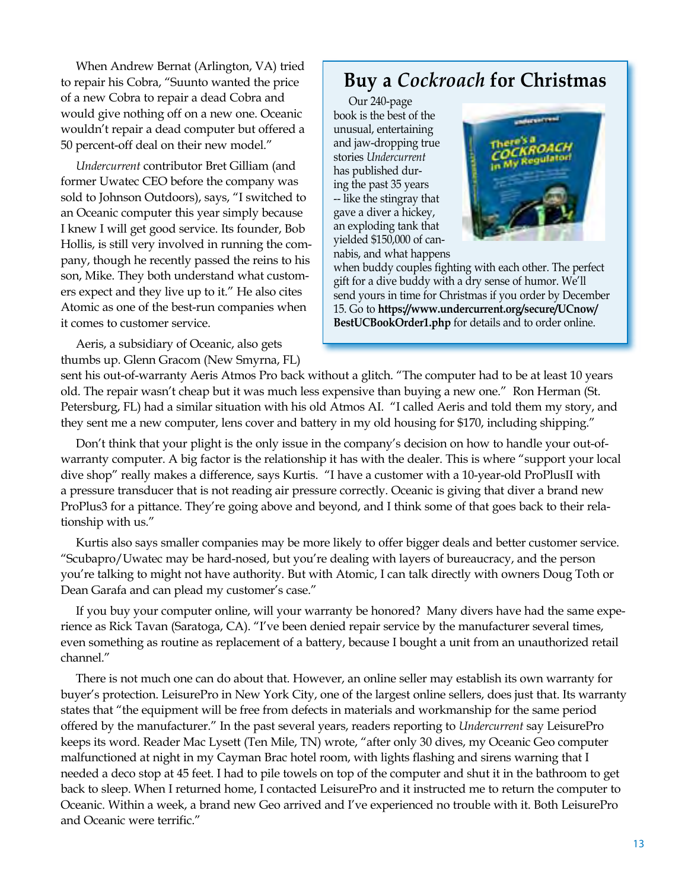When Andrew Bernat (Arlington, VA) tried to repair his Cobra, "Suunto wanted the price of a new Cobra to repair a dead Cobra and would give nothing off on a new one. Oceanic wouldn't repair a dead computer but offered a 50 percent-off deal on their new model."

*Undercurrent* contributor Bret Gilliam (and former Uwatec CEO before the company was sold to Johnson Outdoors), says, "I switched to an Oceanic computer this year simply because I knew I will get good service. Its founder, Bob Hollis, is still very involved in running the company, though he recently passed the reins to his son, Mike. They both understand what customers expect and they live up to it." He also cites Atomic as one of the best-run companies when it comes to customer service.

Aeris, a subsidiary of Oceanic, also gets thumbs up. Glenn Gracom (New Smyrna, FL)

### **Buy a** *Cockroach* **for Christmas**

Our 240-page book is the best of the unusual, entertaining and jaw-dropping true stories *Undercurrent* has published during the past 35 years -- like the stingray that gave a diver a hickey, an exploding tank that yielded \$150,000 of cannabis, and what happens



when buddy couples fighting with each other. The perfect gift for a dive buddy with a dry sense of humor. We'll send yours in time for Christmas if you order by December 15. Go to **https://www.undercurrent.org/secure/UCnow/ BestUCBookOrder1.php** for details and to order online.

sent his out-of-warranty Aeris Atmos Pro back without a glitch. "The computer had to be at least 10 years old. The repair wasn't cheap but it was much less expensive than buying a new one." Ron Herman (St. Petersburg, FL) had a similar situation with his old Atmos AI. "I called Aeris and told them my story, and they sent me a new computer, lens cover and battery in my old housing for \$170, including shipping."

Don't think that your plight is the only issue in the company's decision on how to handle your out-ofwarranty computer. A big factor is the relationship it has with the dealer. This is where "support your local dive shop" really makes a difference, says Kurtis. "I have a customer with a 10-year-old ProPlusII with a pressure transducer that is not reading air pressure correctly. Oceanic is giving that diver a brand new ProPlus3 for a pittance. They're going above and beyond, and I think some of that goes back to their relationship with us."

Kurtis also says smaller companies may be more likely to offer bigger deals and better customer service. "Scubapro/Uwatec may be hard-nosed, but you're dealing with layers of bureaucracy, and the person you're talking to might not have authority. But with Atomic, I can talk directly with owners Doug Toth or Dean Garafa and can plead my customer's case."

If you buy your computer online, will your warranty be honored? Many divers have had the same experience as Rick Tavan (Saratoga, CA). "I've been denied repair service by the manufacturer several times, even something as routine as replacement of a battery, because I bought a unit from an unauthorized retail channel."

There is not much one can do about that. However, an online seller may establish its own warranty for buyer's protection. LeisurePro in New York City, one of the largest online sellers, does just that. Its warranty states that "the equipment will be free from defects in materials and workmanship for the same period offered by the manufacturer." In the past several years, readers reporting to *Undercurrent* say LeisurePro keeps its word. Reader Mac Lysett (Ten Mile, TN) wrote, "after only 30 dives, my Oceanic Geo computer malfunctioned at night in my Cayman Brac hotel room, with lights flashing and sirens warning that I needed a deco stop at 45 feet. I had to pile towels on top of the computer and shut it in the bathroom to get back to sleep. When I returned home, I contacted LeisurePro and it instructed me to return the computer to Oceanic. Within a week, a brand new Geo arrived and I've experienced no trouble with it. Both LeisurePro and Oceanic were terrific."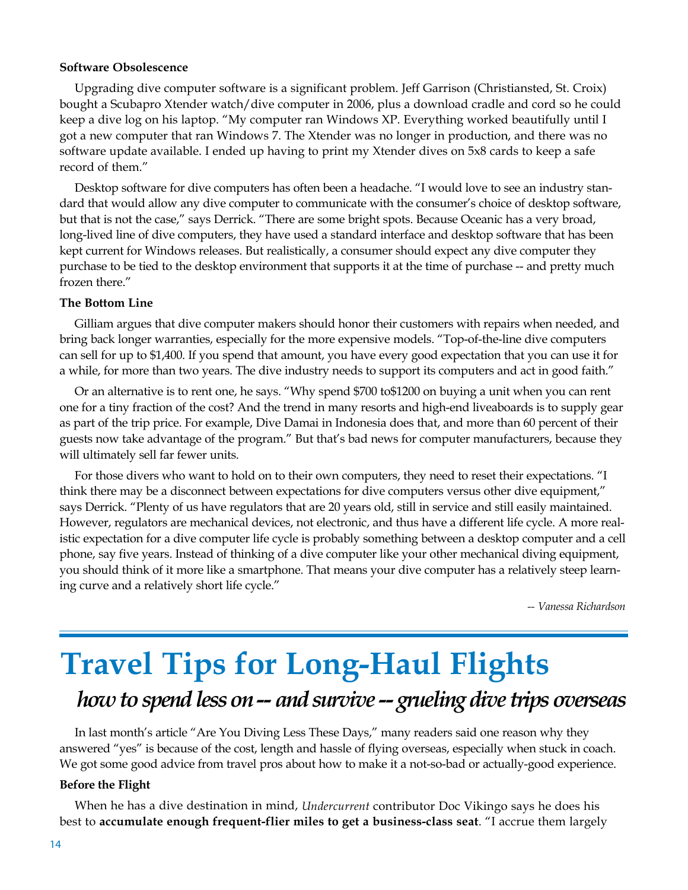#### **Software Obsolescence**

Upgrading dive computer software is a significant problem. Jeff Garrison (Christiansted, St. Croix) bought a Scubapro Xtender watch/dive computer in 2006, plus a download cradle and cord so he could keep a dive log on his laptop. "My computer ran Windows XP. Everything worked beautifully until I got a new computer that ran Windows 7. The Xtender was no longer in production, and there was no software update available. I ended up having to print my Xtender dives on 5x8 cards to keep a safe record of them."

Desktop software for dive computers has often been a headache. "I would love to see an industry standard that would allow any dive computer to communicate with the consumer's choice of desktop software, but that is not the case," says Derrick. "There are some bright spots. Because Oceanic has a very broad, long-lived line of dive computers, they have used a standard interface and desktop software that has been kept current for Windows releases. But realistically, a consumer should expect any dive computer they purchase to be tied to the desktop environment that supports it at the time of purchase -- and pretty much frozen there."

### **The Bottom Line**

Gilliam argues that dive computer makers should honor their customers with repairs when needed, and bring back longer warranties, especially for the more expensive models. "Top-of-the-line dive computers can sell for up to \$1,400. If you spend that amount, you have every good expectation that you can use it for a while, for more than two years. The dive industry needs to support its computers and act in good faith."

Or an alternative is to rent one, he says. "Why spend \$700 to\$1200 on buying a unit when you can rent one for a tiny fraction of the cost? And the trend in many resorts and high-end liveaboards is to supply gear as part of the trip price. For example, Dive Damai in Indonesia does that, and more than 60 percent of their guests now take advantage of the program." But that's bad news for computer manufacturers, because they will ultimately sell far fewer units.

For those divers who want to hold on to their own computers, they need to reset their expectations. "I think there may be a disconnect between expectations for dive computers versus other dive equipment," says Derrick. "Plenty of us have regulators that are 20 years old, still in service and still easily maintained. However, regulators are mechanical devices, not electronic, and thus have a different life cycle. A more realistic expectation for a dive computer life cycle is probably something between a desktop computer and a cell phone, say five years. Instead of thinking of a dive computer like your other mechanical diving equipment, you should think of it more like a smartphone. That means your dive computer has a relatively steep learning curve and a relatively short life cycle."

*-- Vanessa Richardson*

# **Travel Tips for Long-Haul Flights** *how to spend less on -- and survive -- grueling dive trips overseas*

In last month's article "Are You Diving Less These Days," many readers said one reason why they answered "yes" is because of the cost, length and hassle of flying overseas, especially when stuck in coach. We got some good advice from travel pros about how to make it a not-so-bad or actually-good experience.

#### **Before the Flight**

When he has a dive destination in mind, *Undercurrent* contributor Doc Vikingo says he does his best to **accumulate enough frequent-flier miles to get a business-class seat**. "I accrue them largely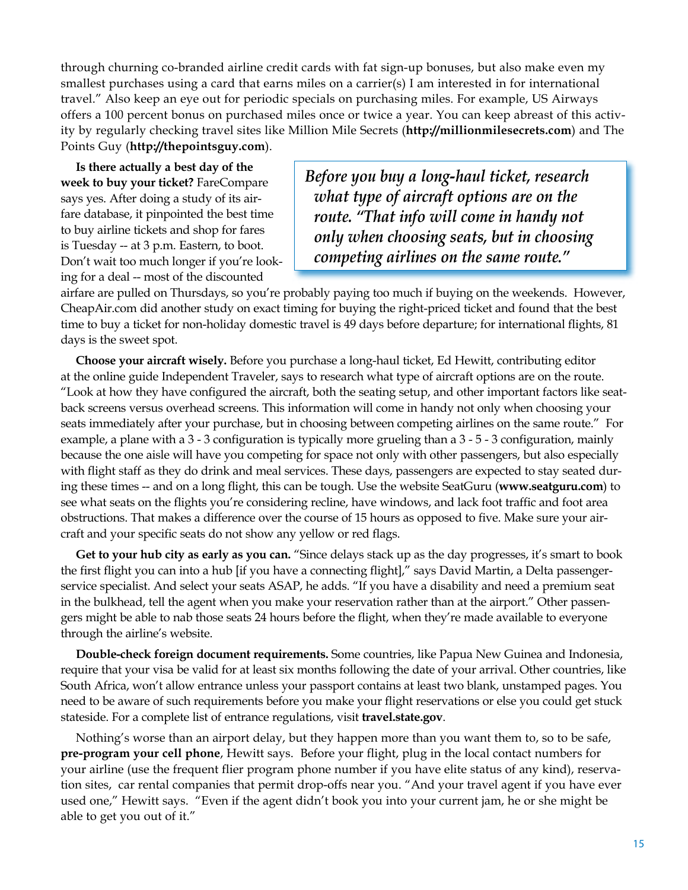through churning co-branded airline credit cards with fat sign-up bonuses, but also make even my smallest purchases using a card that earns miles on a carrier(s) I am interested in for international travel." Also keep an eye out for periodic specials on purchasing miles. For example, US Airways offers a 100 percent bonus on purchased miles once or twice a year. You can keep abreast of this activity by regularly checking travel sites like Million Mile Secrets (**http://millionmilesecrets.com**) and The Points Guy (**http://thepointsguy.com**).

**Is there actually a best day of the week to buy your ticket?** FareCompare says yes. After doing a study of its airfare database, it pinpointed the best time to buy airline tickets and shop for fares is Tuesday -- at 3 p.m. Eastern, to boot. Don't wait too much longer if you're looking for a deal -- most of the discounted

*Before you buy a long-haul ticket, research what type of aircraft options are on the route. "That info will come in handy not only when choosing seats, but in choosing competing airlines on the same route."*

airfare are pulled on Thursdays, so you're probably paying too much if buying on the weekends. However, CheapAir.com did another study on exact timing for buying the right-priced ticket and found that the best time to buy a ticket for non-holiday domestic travel is 49 days before departure; for international flights, 81 days is the sweet spot.

**Choose your aircraft wisely.** Before you purchase a long-haul ticket, Ed Hewitt, contributing editor at the online guide Independent Traveler, says to research what type of aircraft options are on the route. "Look at how they have configured the aircraft, both the seating setup, and other important factors like seatback screens versus overhead screens. This information will come in handy not only when choosing your seats immediately after your purchase, but in choosing between competing airlines on the same route." For example, a plane with a 3 - 3 configuration is typically more grueling than a 3 - 5 - 3 configuration, mainly because the one aisle will have you competing for space not only with other passengers, but also especially with flight staff as they do drink and meal services. These days, passengers are expected to stay seated during these times -- and on a long flight, this can be tough. Use the website SeatGuru (**www.seatguru.com**) to see what seats on the flights you're considering recline, have windows, and lack foot traffic and foot area obstructions. That makes a difference over the course of 15 hours as opposed to five. Make sure your aircraft and your specific seats do not show any yellow or red flags.

**Get to your hub city as early as you can.** "Since delays stack up as the day progresses, it's smart to book the first flight you can into a hub [if you have a connecting flight]," says David Martin, a Delta passengerservice specialist. And select your seats ASAP, he adds. "If you have a disability and need a premium seat in the bulkhead, tell the agent when you make your reservation rather than at the airport." Other passengers might be able to nab those seats 24 hours before the flight, when they're made available to everyone through the airline's website.

**Double-check foreign document requirements.** Some countries, like Papua New Guinea and Indonesia, require that your visa be valid for at least six months following the date of your arrival. Other countries, like South Africa, won't allow entrance unless your passport contains at least two blank, unstamped pages. You need to be aware of such requirements before you make your flight reservations or else you could get stuck stateside. For a complete list of entrance regulations, visit **travel.state.gov**.

Nothing's worse than an airport delay, but they happen more than you want them to, so to be safe, **pre-program your cell phone**, Hewitt says. Before your flight, plug in the local contact numbers for your airline (use the frequent flier program phone number if you have elite status of any kind), reservation sites, car rental companies that permit drop-offs near you. "And your travel agent if you have ever used one," Hewitt says. "Even if the agent didn't book you into your current jam, he or she might be able to get you out of it."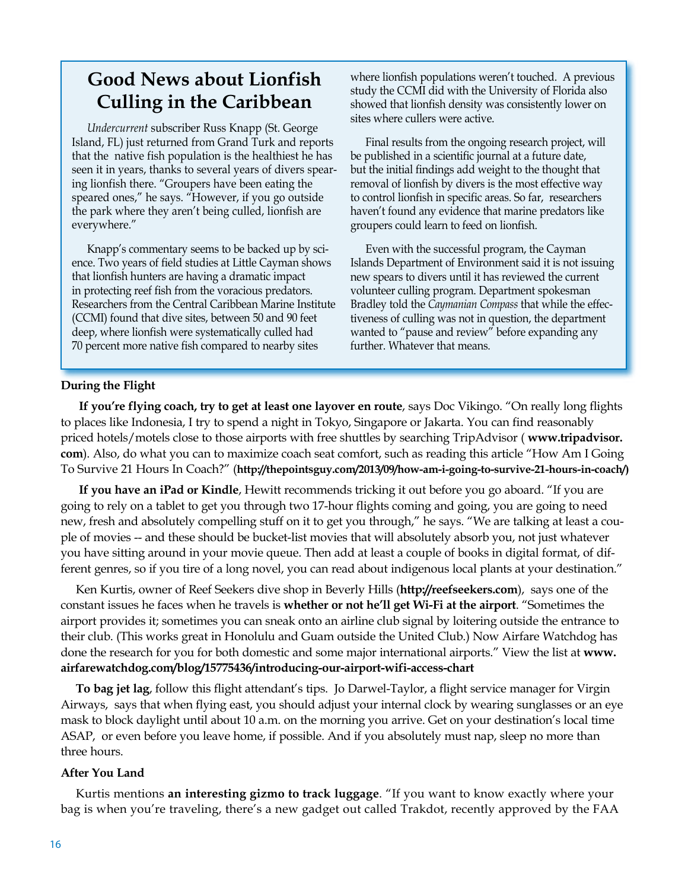### **Good News about Lionfish Culling in the Caribbean**

*Undercurrent* subscriber Russ Knapp (St. George Island, FL) just returned from Grand Turk and reports that the native fish population is the healthiest he has seen it in years, thanks to several years of divers spearing lionfish there. "Groupers have been eating the speared ones," he says. "However, if you go outside the park where they aren't being culled, lionfish are everywhere."

Knapp's commentary seems to be backed up by science. Two years of field studies at Little Cayman shows that lionfish hunters are having a dramatic impact in protecting reef fish from the voracious predators. Researchers from the Central Caribbean Marine Institute (CCMI) found that dive sites, between 50 and 90 feet deep, where lionfish were systematically culled had 70 percent more native fish compared to nearby sites

where lionfish populations weren't touched. A previous study the CCMI did with the University of Florida also showed that lionfish density was consistently lower on sites where cullers were active.

Final results from the ongoing research project, will be published in a scientific journal at a future date, but the initial findings add weight to the thought that removal of lionfish by divers is the most effective way to control lionfish in specific areas. So far, researchers haven't found any evidence that marine predators like groupers could learn to feed on lionfish.

Even with the successful program, the Cayman Islands Department of Environment said it is not issuing new spears to divers until it has reviewed the current volunteer culling program. Department spokesman Bradley told the *Caymanian Compass* that while the effectiveness of culling was not in question, the department wanted to "pause and review" before expanding any further. Whatever that means.

#### **During the Flight**

 **If you're flying coach, try to get at least one layover en route**, says Doc Vikingo. "On really long flights to places like Indonesia, I try to spend a night in Tokyo, Singapore or Jakarta. You can find reasonably priced hotels/motels close to those airports with free shuttles by searching TripAdvisor ( **www.tripadvisor. com**). Also, do what you can to maximize coach seat comfort, such as reading this article "How Am I Going To Survive 21 Hours In Coach?" (**[http://thepointsguy.com/2013/09/how-am-i-going-to-survive-21-hours-in-coach/\)](http://thepointsguy.com/2013/09/how-am-i-going-to-survive-21-hours-in-coach/)**

 **If you have an iPad or Kindle**, Hewitt recommends tricking it out before you go aboard. "If you are going to rely on a tablet to get you through two 17-hour flights coming and going, you are going to need new, fresh and absolutely compelling stuff on it to get you through," he says. "We are talking at least a couple of movies -- and these should be bucket-list movies that will absolutely absorb you, not just whatever you have sitting around in your movie queue. Then add at least a couple of books in digital format, of different genres, so if you tire of a long novel, you can read about indigenous local plants at your destination."

Ken Kurtis, owner of Reef Seekers dive shop in Beverly Hills (**http://reefseekers.com**), says one of the constant issues he faces when he travels is **whether or not he'll get Wi-Fi at the airport**. "Sometimes the airport provides it; sometimes you can sneak onto an airline club signal by loitering outside the entrance to their club. (This works great in Honolulu and Guam outside the United Club.) Now Airfare Watchdog has done the research for you for both domestic and some major international airports." View the list at **www. airfarewatchdog.com/blog/15775436/introducing-our-airport-wifi-access-chart**

**To bag jet lag**, follow this flight attendant's tips. Jo Darwel-Taylor, a flight service manager for Virgin Airways, says that when flying east, you should adjust your internal clock by wearing sunglasses or an eye mask to block daylight until about 10 a.m. on the morning you arrive. Get on your destination's local time ASAP, or even before you leave home, if possible. And if you absolutely must nap, sleep no more than three hours.

### **After You Land**

Kurtis mentions **an interesting gizmo to track luggage**. "If you want to know exactly where your bag is when you're traveling, there's a new gadget out called Trakdot, recently approved by the FAA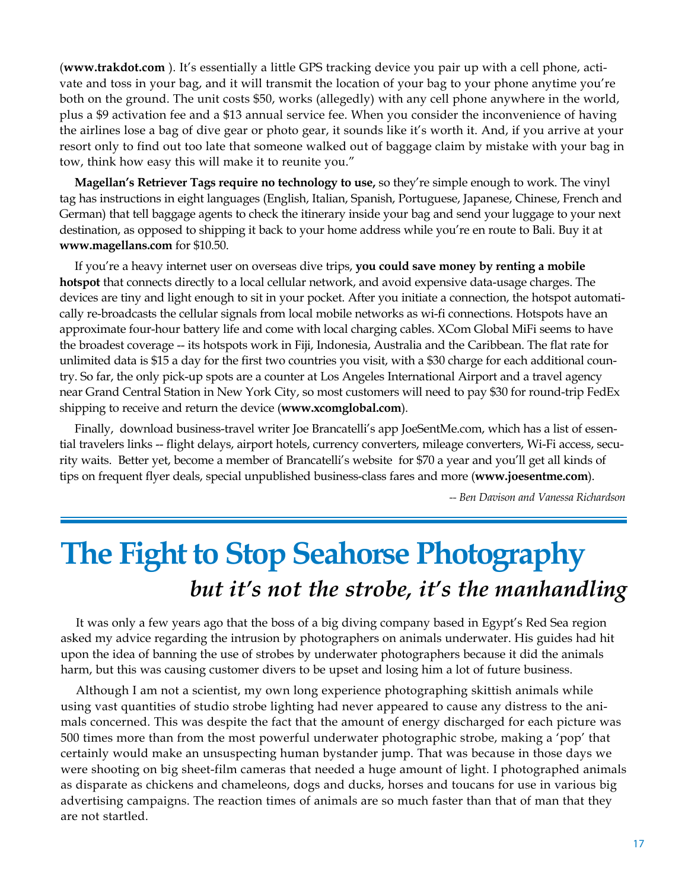(**www.trakdot.com** ). It's essentially a little GPS tracking device you pair up with a cell phone, activate and toss in your bag, and it will transmit the location of your bag to your phone anytime you're both on the ground. The unit costs \$50, works (allegedly) with any cell phone anywhere in the world, plus a \$9 activation fee and a \$13 annual service fee. When you consider the inconvenience of having the airlines lose a bag of dive gear or photo gear, it sounds like it's worth it. And, if you arrive at your resort only to find out too late that someone walked out of baggage claim by mistake with your bag in tow, think how easy this will make it to reunite you."

**Magellan's Retriever Tags require no technology to use,** so they're simple enough to work. The vinyl tag has instructions in eight languages (English, Italian, Spanish, Portuguese, Japanese, Chinese, French and German) that tell baggage agents to check the itinerary inside your bag and send your luggage to your next destination, as opposed to shipping it back to your home address while you're en route to Bali. Buy it at **www.magellans.com** for \$10.50.

If you're a heavy internet user on overseas dive trips, **you could save money by renting a mobile hotspot** that connects directly to a local cellular network, and avoid expensive data-usage charges. The devices are tiny and light enough to sit in your pocket. After you initiate a connection, the hotspot automatically re-broadcasts the cellular signals from local mobile networks as wi-fi connections. Hotspots have an approximate four-hour battery life and come with local charging cables. XCom Global MiFi seems to have the broadest coverage -- its hotspots work in Fiji, Indonesia, Australia and the Caribbean. The flat rate for unlimited data is \$15 a day for the first two countries you visit, with a \$30 charge for each additional country. So far, the only pick-up spots are a counter at Los Angeles International Airport and a travel agency near Grand Central Station in New York City, so most customers will need to pay \$30 for round-trip FedEx shipping to receive and return the device (**www.xcomglobal.com**).

Finally, download business-travel writer Joe Brancatelli's app JoeSentMe.com, which has a list of essential travelers links -- flight delays, airport hotels, currency converters, mileage converters, Wi-Fi access, security waits. Better yet, become a member of Brancatelli's website for \$70 a year and you'll get all kinds of tips on frequent flyer deals, special unpublished business-class fares and more (**www.joesentme.com**).

*-- Ben Davison and Vanessa Richardson*

## **The Fight to Stop Seahorse Photography** *but it's not the strobe, it's the manhandling*

It was only a few years ago that the boss of a big diving company based in Egypt's Red Sea region asked my advice regarding the intrusion by photographers on animals underwater. His guides had hit upon the idea of banning the use of strobes by underwater photographers because it did the animals harm, but this was causing customer divers to be upset and losing him a lot of future business.

Although I am not a scientist, my own long experience photographing skittish animals while using vast quantities of studio strobe lighting had never appeared to cause any distress to the animals concerned. This was despite the fact that the amount of energy discharged for each picture was 500 times more than from the most powerful underwater photographic strobe, making a 'pop' that certainly would make an unsuspecting human bystander jump. That was because in those days we were shooting on big sheet-film cameras that needed a huge amount of light. I photographed animals as disparate as chickens and chameleons, dogs and ducks, horses and toucans for use in various big advertising campaigns. The reaction times of animals are so much faster than that of man that they are not startled.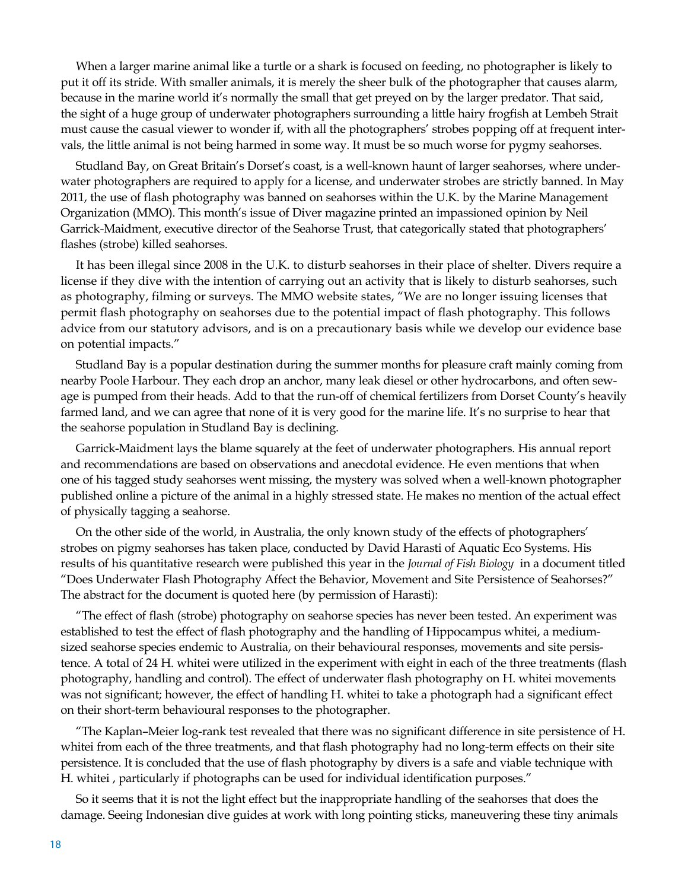When a larger marine animal like a turtle or a shark is focused on feeding, no photographer is likely to put it off its stride. With smaller animals, it is merely the sheer bulk of the photographer that causes alarm, because in the marine world it's normally the small that get preyed on by the larger predator. That said, the sight of a huge group of underwater photographers surrounding a little hairy frogfish at Lembeh Strait must cause the casual viewer to wonder if, with all the photographers' strobes popping off at frequent intervals, the little animal is not being harmed in some way. It must be so much worse for pygmy seahorses.

Studland Bay, on Great Britain's Dorset's coast, is a well-known haunt of larger seahorses, where underwater photographers are required to apply for a license, and underwater strobes are strictly banned. In May 2011, the use of flash photography was banned on seahorses within the U.K. by the Marine Management Organization (MMO). This month's issue of Diver magazine printed an impassioned opinion by Neil Garrick-Maidment, executive director of the Seahorse Trust, that categorically stated that photographers' flashes (strobe) killed seahorses.

It has been illegal since 2008 in the U.K. to disturb seahorses in their place of shelter. Divers require a license if they dive with the intention of carrying out an activity that is likely to disturb seahorses, such as photography, filming or surveys. The MMO website states, "We are no longer issuing licenses that permit flash photography on seahorses due to the potential impact of flash photography. This follows advice from our statutory advisors, and is on a precautionary basis while we develop our evidence base on potential impacts."

Studland Bay is a popular destination during the summer months for pleasure craft mainly coming from nearby Poole Harbour. They each drop an anchor, many leak diesel or other hydrocarbons, and often sewage is pumped from their heads. Add to that the run-off of chemical fertilizers from Dorset County's heavily farmed land, and we can agree that none of it is very good for the marine life. It's no surprise to hear that the seahorse population in Studland Bay is declining.

Garrick-Maidment lays the blame squarely at the feet of underwater photographers. His annual report and recommendations are based on observations and anecdotal evidence. He even mentions that when one of his tagged study seahorses went missing, the mystery was solved when a well-known photographer published online a picture of the animal in a highly stressed state. He makes no mention of the actual effect of physically tagging a seahorse.

On the other side of the world, in Australia, the only known study of the effects of photographers' strobes on pigmy seahorses has taken place, conducted by David Harasti of Aquatic Eco Systems. His results of his quantitative research were published this year in the *Journal of Fish Biology* in a document titled "Does Underwater Flash Photography Affect the Behavior, Movement and Site Persistence of Seahorses?" The abstract for the document is quoted here (by permission of Harasti):

"The effect of flash (strobe) photography on seahorse species has never been tested. An experiment was established to test the effect of flash photography and the handling of Hippocampus whitei, a mediumsized seahorse species endemic to Australia, on their behavioural responses, movements and site persistence. A total of 24 H. whitei were utilized in the experiment with eight in each of the three treatments (flash photography, handling and control). The effect of underwater flash photography on H. whitei movements was not significant; however, the effect of handling H. whitei to take a photograph had a significant effect on their short-term behavioural responses to the photographer.

"The Kaplan–Meier log-rank test revealed that there was no significant difference in site persistence of H. whitei from each of the three treatments, and that flash photography had no long-term effects on their site persistence. It is concluded that the use of flash photography by divers is a safe and viable technique with H. whitei , particularly if photographs can be used for individual identification purposes."

So it seems that it is not the light effect but the inappropriate handling of the seahorses that does the damage. Seeing Indonesian dive guides at work with long pointing sticks, maneuvering these tiny animals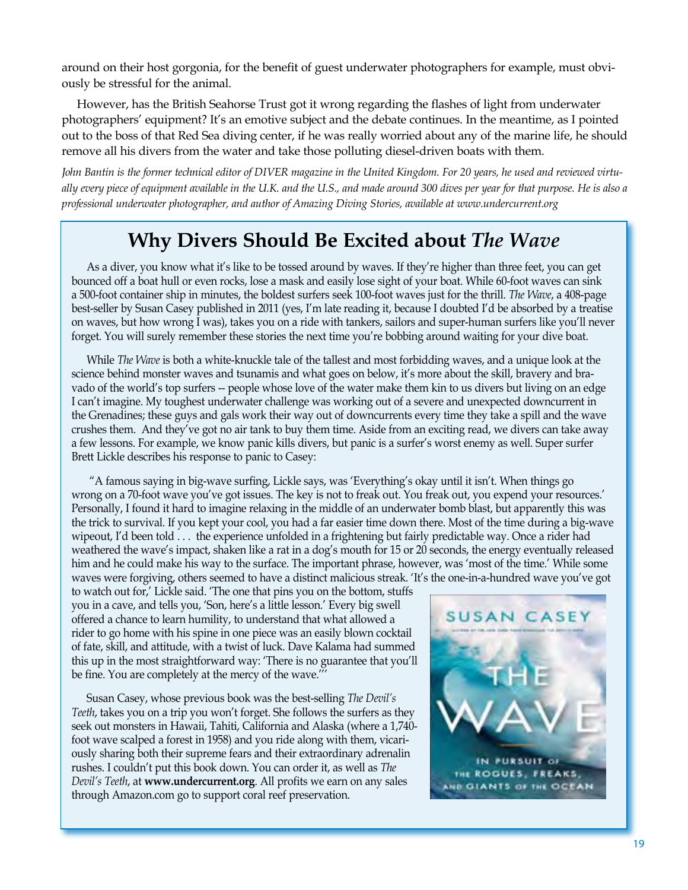around on their host gorgonia, for the benefit of guest underwater photographers for example, must obviously be stressful for the animal.

However, has the British Seahorse Trust got it wrong regarding the flashes of light from underwater photographers' equipment? It's an emotive subject and the debate continues. In the meantime, as I pointed out to the boss of that Red Sea diving center, if he was really worried about any of the marine life, he should remove all his divers from the water and take those polluting diesel-driven boats with them.

*John Bantin is the former technical editor of DIVER magazine in the United Kingdom. For 20 years, he used and reviewed virtually every piece of equipment available in the U.K. and the U.S., and made around 300 dives per year for that purpose. He is also a professional underwater photographer, and author of Amazing Diving Stories, available at www.undercurrent.org*

## **Why Divers Should Be Excited about** *The Wave*

As a diver, you know what it's like to be tossed around by waves. If they're higher than three feet, you can get bounced off a boat hull or even rocks, lose a mask and easily lose sight of your boat. While 60-foot waves can sink a 500-foot container ship in minutes, the boldest surfers seek 100-foot waves just for the thrill. *The Wave*, a 408-page best-seller by Susan Casey published in 2011 (yes, I'm late reading it, because I doubted I'd be absorbed by a treatise on waves, but how wrong I was), takes you on a ride with tankers, sailors and super-human surfers like you'll never forget. You will surely remember these stories the next time you're bobbing around waiting for your dive boat.

While *The Wave* is both a white-knuckle tale of the tallest and most forbidding waves, and a unique look at the science behind monster waves and tsunamis and what goes on below, it's more about the skill, bravery and bravado of the world's top surfers -- people whose love of the water make them kin to us divers but living on an edge I can't imagine. My toughest underwater challenge was working out of a severe and unexpected downcurrent in the Grenadines; these guys and gals work their way out of downcurrents every time they take a spill and the wave crushes them. And they've got no air tank to buy them time. Aside from an exciting read, we divers can take away a few lessons. For example, we know panic kills divers, but panic is a surfer's worst enemy as well. Super surfer Brett Lickle describes his response to panic to Casey:

 "A famous saying in big-wave surfing, Lickle says, was 'Everything's okay until it isn't. When things go wrong on a 70-foot wave you've got issues. The key is not to freak out. You freak out, you expend your resources.' Personally, I found it hard to imagine relaxing in the middle of an underwater bomb blast, but apparently this was the trick to survival. If you kept your cool, you had a far easier time down there. Most of the time during a big-wave wipeout, I'd been told . . . the experience unfolded in a frightening but fairly predictable way. Once a rider had weathered the wave's impact, shaken like a rat in a dog's mouth for 15 or 20 seconds, the energy eventually released him and he could make his way to the surface. The important phrase, however, was 'most of the time.' While some waves were forgiving, others seemed to have a distinct malicious streak. 'It's the one-in-a-hundred wave you've got

to watch out for,' Lickle said. 'The one that pins you on the bottom, stuffs you in a cave, and tells you, 'Son, here's a little lesson.' Every big swell offered a chance to learn humility, to understand that what allowed a rider to go home with his spine in one piece was an easily blown cocktail of fate, skill, and attitude, with a twist of luck. Dave Kalama had summed this up in the most straightforward way: 'There is no guarantee that you'll be fine. You are completely at the mercy of the wave.'''

Susan Casey, whose previous book was the best-selling *The Devil's Teeth*, takes you on a trip you won't forget. She follows the surfers as they seek out monsters in Hawaii, Tahiti, California and Alaska (where a 1,740 foot wave scalped a forest in 1958) and you ride along with them, vicariously sharing both their supreme fears and their extraordinary adrenalin rushes. I couldn't put this book down. You can order it, as well as *The Devil's Teeth*, at **www.undercurrent.org**. All profits we earn on any sales through Amazon.com go to support coral reef preservation.